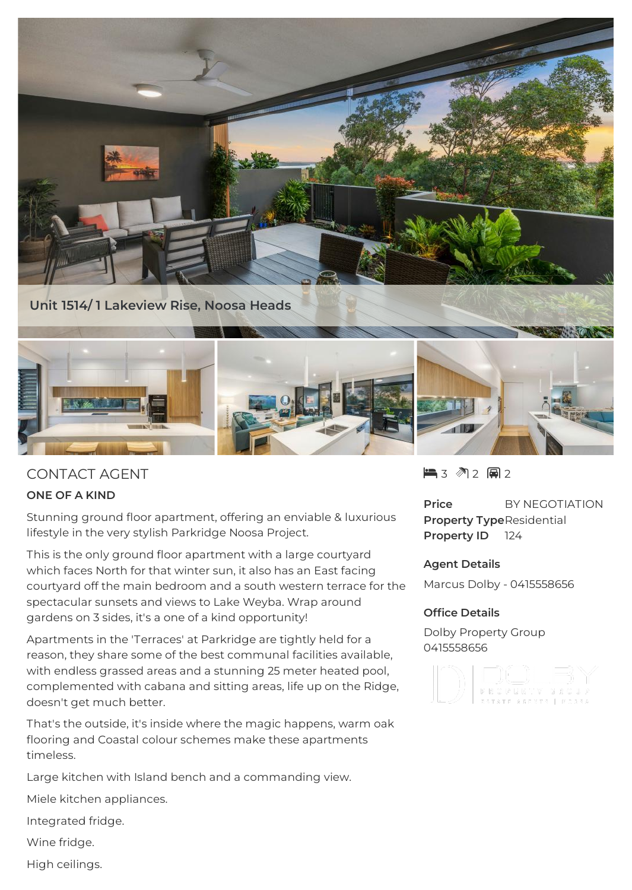





# CONTACT AGENT

## **ONE OF A KIND**

Stunning ground floor apartment, offering an enviable & luxurious lifestyle in the very stylish Parkridge Noosa Project.

This is the only ground floor apartment with a large courtyard which faces North for that winter sun, it also has an East facing courtyard off the main bedroom and a south western terrace for the spectacular sunsets and views to Lake Weyba. Wrap around gardens on 3 sides, it's a one of a kind opportunity!

Apartments in the 'Terraces' at Parkridge are tightly held for a reason, they share some of the best communal facilities available, with endless grassed areas and a stunning 25 meter heated pool, complemented with cabana and sitting areas, life up on the Ridge, doesn't get much better.

That's the outside, it's inside where the magic happens, warm oak flooring and Coastal colour schemes make these apartments timeless.

Large kitchen with Island bench and a commanding view.

Miele kitchen appliances.

Integrated fridge.

Wine fridge.

High ceilings.

 $\blacksquare$  3 2 2 2 2

**Price** BY NEGOTIATION **Property Type**Residential **Property ID** 124

## **Agent Details**

Marcus Dolby - 0415558656

## **Office Details**

Dolby Property Group 0415558656